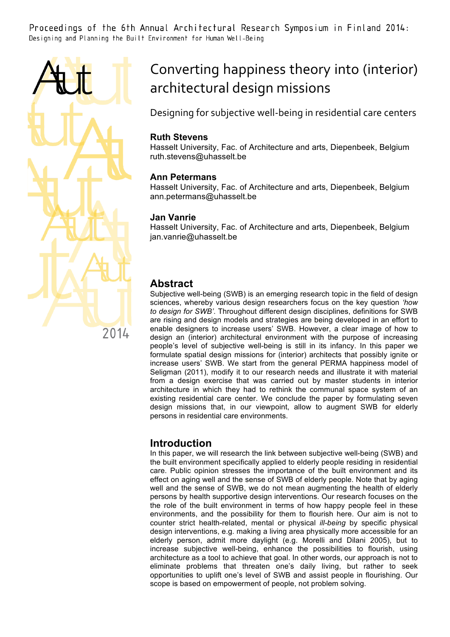Proceedings of the 6th Annual Architectural Research Symposium in Finland 2014: Designing and Planning the Built Environment for Human Well-Being



# Converting happiness theory into (interior) architectural design missions

Designing for subjective well-being in residential care centers

### **Ruth Stevens**

Hasselt University, Fac. of Architecture and arts, Diepenbeek, Belgium ruth.stevens@uhasselt.be

### **Ann Petermans**

Hasselt University, Fac. of Architecture and arts, Diepenbeek, Belgium ann.petermans@uhasselt.be

### **Jan Vanrie**

Hasselt University, Fac. of Architecture and arts, Diepenbeek, Belgium jan.vanrie@uhasselt.be

# **Abstract**

Subjective well-being (SWB) is an emerging research topic in the field of design sciences, whereby various design researchers focus on the key question *'how to design for SWB'*. Throughout different design disciplines, definitions for SWB are rising and design models and strategies are being developed in an effort to enable designers to increase users' SWB. However, a clear image of how to design an (interior) architectural environment with the purpose of increasing people's level of subjective well-being is still in its infancy. In this paper we formulate spatial design missions for (interior) architects that possibly ignite or increase users' SWB. We start from the general PERMA happiness model of Seligman (2011), modify it to our research needs and illustrate it with material from a design exercise that was carried out by master students in interior architecture in which they had to rethink the communal space system of an existing residential care center. We conclude the paper by formulating seven design missions that, in our viewpoint, allow to augment SWB for elderly persons in residential care environments.

# **Introduction**

In this paper, we will research the link between subjective well-being (SWB) and the built environment specifically applied to elderly people residing in residential care. Public opinion stresses the importance of the built environment and its effect on aging well and the sense of SWB of elderly people. Note that by aging well and the sense of SWB, we do not mean augmenting the health of elderly persons by health supportive design interventions. Our research focuses on the the role of the built environment in terms of how happy people feel in these environments, and the possibility for them to flourish here. Our aim is not to counter strict health-related, mental or physical *ill-being* by specific physical design interventions, e.g. making a living area physically more accessible for an elderly person, admit more daylight (e.g. Morelli and Dilani 2005), but to increase subjective well-being, enhance the possibilities to flourish, using architecture as a tool to achieve that goal. In other words, our approach is not to eliminate problems that threaten one's daily living, but rather to seek opportunities to uplift one's level of SWB and assist people in flourishing. Our scope is based on empowerment of people, not problem solving.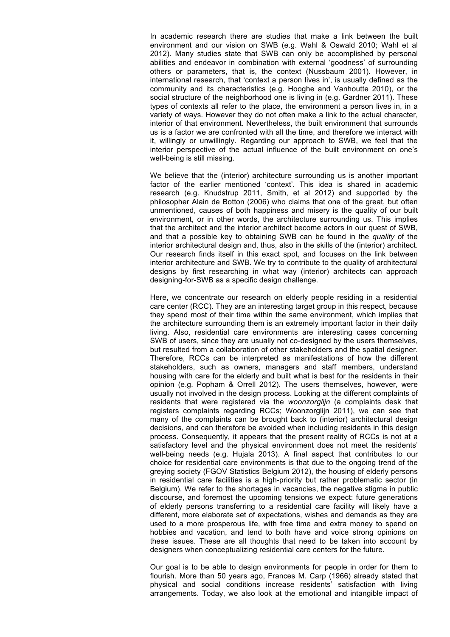In academic research there are studies that make a link between the built environment and our vision on SWB (e.g. Wahl & Oswald 2010; Wahl et al 2012). Many studies state that SWB can only be accomplished by personal abilities and endeavor in combination with external 'goodness' of surrounding others or parameters, that is, the context (Nussbaum 2001). However, in international research, that 'context a person lives in', is usually defined as the community and its characteristics (e.g. Hooghe and Vanhoutte 2010), or the social structure of the neighborhood one is living in (e.g. Gardner 2011). These types of contexts all refer to the place, the environment a person lives in, in a variety of ways. However they do not often make a link to the actual character, interior of that environment. Nevertheless, the built environment that surrounds us is a factor we are confronted with all the time, and therefore we interact with it, willingly or unwillingly. Regarding our approach to SWB, we feel that the interior perspective of the actual influence of the built environment on one's well-being is still missing.

We believe that the (interior) architecture surrounding us is another important factor of the earlier mentioned 'context'. This idea is shared in academic research (e.g. Knudstrup 2011, Smith, et al 2012) and supported by the philosopher Alain de Botton (2006) who claims that one of the great, but often unmentioned, causes of both happiness and misery is the quality of our built environment, or in other words, the architecture surrounding us. This implies that the architect and the interior architect become actors in our quest of SWB, and that a possible key to obtaining SWB can be found in the *quality* of the interior architectural design and, thus, also in the skills of the (interior) architect. Our research finds itself in this exact spot, and focuses on the link between interior architecture and SWB. We try to contribute to the quality of architectural designs by first researching in what way (interior) architects can approach designing-for-SWB as a specific design challenge.

Here, we concentrate our research on elderly people residing in a residential care center (RCC). They are an interesting target group in this respect, because they spend most of their time within the same environment, which implies that the architecture surrounding them is an extremely important factor in their daily living. Also, residential care environments are interesting cases concerning SWB of users, since they are usually not co-designed by the users themselves, but resulted from a collaboration of other stakeholders and the spatial designer. Therefore, RCCs can be interpreted as manifestations of how the different stakeholders, such as owners, managers and staff members, understand housing with care for the elderly and built what is best for the residents in their opinion (e.g. Popham & Orrell 2012). The users themselves, however, were usually not involved in the design process. Looking at the different complaints of residents that were registered via the *woonzorglijn* (a complaints desk that registers complaints regarding RCCs; Woonzorglijn 2011), we can see that many of the complaints can be brought back to (interior) architectural design decisions, and can therefore be avoided when including residents in this design process. Consequently, it appears that the present reality of RCCs is not at a satisfactory level and the physical environment does not meet the residents' well-being needs (e.g. Hujala 2013). A final aspect that contributes to our choice for residential care environments is that due to the ongoing trend of the greying society (FGOV Statistics Belgium 2012), the housing of elderly persons in residential care facilities is a high-priority but rather problematic sector (in Belgium). We refer to the shortages in vacancies, the negative stigma in public discourse, and foremost the upcoming tensions we expect: future generations of elderly persons transferring to a residential care facility will likely have a different, more elaborate set of expectations, wishes and demands as they are used to a more prosperous life, with free time and extra money to spend on hobbies and vacation, and tend to both have and voice strong opinions on these issues. These are all thoughts that need to be taken into account by designers when conceptualizing residential care centers for the future.

Our goal is to be able to design environments for people in order for them to flourish. More than 50 years ago, Frances M. Carp (1966) already stated that physical and social conditions increase residents' satisfaction with living arrangements. Today, we also look at the emotional and intangible impact of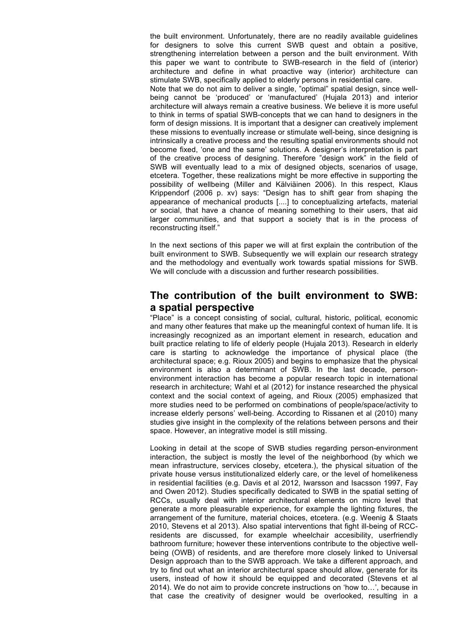the built environment. Unfortunately, there are no readily available guidelines for designers to solve this current SWB quest and obtain a positive, strengthening interrelation between a person and the built environment. With this paper we want to contribute to SWB-research in the field of (interior) architecture and define in what proactive way (interior) architecture can stimulate SWB, specifically applied to elderly persons in residential care. Note that we do not aim to deliver a single, "optimal" spatial design, since wellbeing cannot be 'produced' or 'manufactured' (Hujala 2013) and interior architecture will always remain a creative business. We believe it is more useful to think in terms of spatial SWB-concepts that we can hand to designers in the form of design missions. It is important that a designer can creatively implement these missions to eventually increase or stimulate well-being, since designing is intrinsically a creative process and the resulting spatial environments should not become fixed, 'one and the same' solutions. A designer's interpretation is part of the creative process of designing. Therefore "design work" in the field of SWB will eventually lead to a mix of designed objects, scenarios of usage, etcetera. Together, these realizations might be more effective in supporting the possibility of wellbeing (Miller and Kälviäinen 2006). In this respect, Klaus Krippendorf (2006 p. xv) says: "Design has to shift gear from shaping the appearance of mechanical products [....] to conceptualizing artefacts, material or social, that have a chance of meaning something to their users, that aid larger communities, and that support a society that is in the process of reconstructing itself."

In the next sections of this paper we will at first explain the contribution of the built environment to SWB. Subsequently we will explain our research strategy and the methodology and eventually work towards spatial missions for SWB. We will conclude with a discussion and further research possibilities.

# **The contribution of the built environment to SWB: a spatial perspective**

"Place" is a concept consisting of social, cultural, historic, political, economic and many other features that make up the meaningful context of human life. It is increasingly recognized as an important element in research, education and built practice relating to life of elderly people (Hujala 2013). Research in elderly care is starting to acknowledge the importance of physical place (the architectural space; e.g. Rioux 2005) and begins to emphasize that the physical environment is also a determinant of SWB. In the last decade, personenvironment interaction has become a popular research topic in international research in architecture; Wahl et al (2012) for instance researched the physical context and the social context of ageing, and Rioux (2005) emphasized that more studies need to be performed on combinations of people/space/activity to increase elderly persons' well-being. According to Rissanen et al (2010) many studies give insight in the complexity of the relations between persons and their space. However, an integrative model is still missing.

Looking in detail at the scope of SWB studies regarding person-environment interaction, the subject is mostly the level of the neighborhood (by which we mean infrastructure, services closeby, etcetera.), the physical situation of the private house versus institutionalized elderly care, or the level of homelikeness in residential facilities (e.g. Davis et al 2012, Iwarsson and Isacsson 1997, Fay and Owen 2012). Studies specifically dedicated to SWB in the spatial setting of RCCs, usually deal with interior architectural elements on micro level that generate a more pleasurable experience, for example the lighting fixtures, the arrangement of the furniture, material choices, etcetera. (e.g. Weenig & Staats 2010, Stevens et al 2013). Also spatial interventions that fight ill-being of RCCresidents are discussed, for example wheelchair accesibility, userfriendly bathroom furniture; however these interventions contribute to the objective wellbeing (OWB) of residents, and are therefore more closely linked to Universal Design approach than to the SWB approach. We take a different approach, and try to find out what an interior architectural space should allow, generate for its users, instead of how it should be equipped and decorated (Stevens et al 2014). We do not aim to provide concrete instructions on 'how to…', because in that case the creativity of designer would be overlooked, resulting in a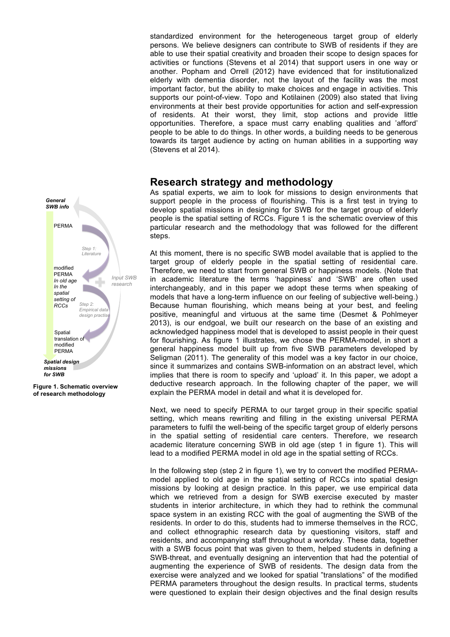standardized environment for the heterogeneous target group of elderly persons. We believe designers can contribute to SWB of residents if they are able to use their spatial creativity and broaden their scope to design spaces for activities or functions (Stevens et al 2014) that support users in one way or another. Popham and Orrell (2012) have evidenced that for institutionalized elderly with dementia disorder, not the layout of the facility was the most important factor, but the ability to make choices and engage in activities. This supports our point-of-view. Topo and Kotilainen (2009) also stated that living environments at their best provide opportunities for action and self-expression of residents. At their worst, they limit, stop actions and provide little opportunities. Therefore, a space must carry enabling qualities and 'afford' people to be able to do things. In other words, a building needs to be generous towards its target audience by acting on human abilities in a supporting way (Stevens et al 2014).

### **Research strategy and methodology**

As spatial experts, we aim to look for missions to design environments that support people in the process of flourishing. This is a first test in trying to develop spatial missions in designing for SWB for the target group of elderly people is the spatial setting of RCCs. Figure 1 is the schematic overview of this particular research and the methodology that was followed for the different steps.

At this moment, there is no specific SWB model available that is applied to the target group of elderly people in the spatial setting of residential care. Therefore, we need to start from general SWB or happiness models. (Note that in academic literature the terms 'happiness' and 'SWB' are often used interchangeably, and in this paper we adopt these terms when speaking of models that have a long-term influence on our feeling of subjective well-being.) Because human flourishing, which means being at your best, and feeling positive, meaningful and virtuous at the same time (Desmet & Pohlmeyer 2013), is our endgoal, we built our research on the base of an existing and acknowledged happiness model that is developed to assist people in their quest for flourishing. As figure 1 illustrates, we chose the PERMA-model, in short a general happiness model built up from five SWB parameters developed by Seligman (2011). The generality of this model was a key factor in our choice, since it summarizes and contains SWB-information on an abstract level, which implies that there is room to specify and 'upload' it. In this paper, we adopt a deductive research approach. In the following chapter of the paper, we will explain the PERMA model in detail and what it is developed for.

Next, we need to specify PERMA to our target group in their specific spatial setting, which means rewriting and filling in the existing universal PERMA parameters to fulfil the well-being of the specific target group of elderly persons in the spatial setting of residential care centers. Therefore, we research academic literature concerning SWB in old age (step 1 in figure 1). This will lead to a modified PERMA model in old age in the spatial setting of RCCs.

In the following step (step 2 in figure 1), we try to convert the modified PERMAmodel applied to old age in the spatial setting of RCCs into spatial design missions by looking at design practice. In this paper, we use empirical data which we retrieved from a design for SWB exercise executed by master students in interior architecture, in which they had to rethink the communal space system in an existing RCC with the goal of augmenting the SWB of the residents. In order to do this, students had to immerse themselves in the RCC, and collect ethnographic research data by questioning visitors, staff and residents, and accompanying staff throughout a workday. These data, together with a SWB focus point that was given to them, helped students in defining a SWB-threat, and eventually designing an intervention that had the potential of augmenting the experience of SWB of residents. The design data from the exercise were analyzed and we looked for spatial "translations" of the modified PERMA parameters throughout the design results. In practical terms, students were questioned to explain their design objectives and the final design results



**Figure 1. Schematic overview of research methodology**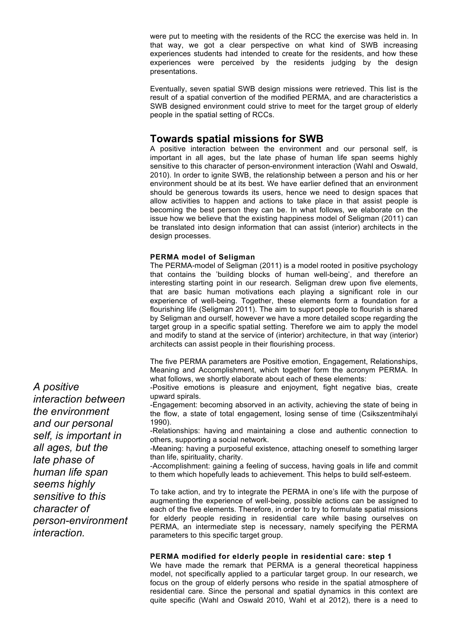were put to meeting with the residents of the RCC the exercise was held in. In that way, we got a clear perspective on what kind of SWB increasing experiences students had intended to create for the residents, and how these experiences were perceived by the residents judging by the design presentations.

Eventually, seven spatial SWB design missions were retrieved. This list is the result of a spatial convertion of the modified PERMA, and are characteristics a SWB designed environment could strive to meet for the target group of elderly people in the spatial setting of RCCs.

# **Towards spatial missions for SWB**

A positive interaction between the environment and our personal self, is important in all ages, but the late phase of human life span seems highly sensitive to this character of person-environment interaction (Wahl and Oswald, 2010). In order to ignite SWB, the relationship between a person and his or her environment should be at its best. We have earlier defined that an environment should be generous towards its users, hence we need to design spaces that allow activities to happen and actions to take place in that assist people is becoming the best person they can be. In what follows, we elaborate on the issue how we believe that the existing happiness model of Seligman (2011) can be translated into design information that can assist (interior) architects in the design processes.

#### **PERMA model of Seligman**

The PERMA-model of Seligman (2011) is a model rooted in positive psychology that contains the 'building blocks of human well-being', and therefore an interesting starting point in our research. Seligman drew upon five elements, that are basic human motivations each playing a significant role in our experience of well-being. Together, these elements form a foundation for a flourishing life (Seligman 2011). The aim to support people to flourish is shared by Seligman and ourself, however we have a more detailed scope regarding the target group in a specific spatial setting. Therefore we aim to apply the model and modify to stand at the service of (interior) architecture, in that way (interior) architects can assist people in their flourishing process.

The five PERMA parameters are Positive emotion, Engagement, Relationships, Meaning and Accomplishment, which together form the acronym PERMA. In what follows, we shortly elaborate about each of these elements:

-Positive emotions is pleasure and enjoyment, fight negative bias, create upward spirals.

-Engagement: becoming absorved in an activity, achieving the state of being in the flow, a state of total engagement, losing sense of time (Csikszentmihalyi 1990).

-Relationships: having and maintaining a close and authentic connection to others, supporting a social network.

-Meaning: having a purposeful existence, attaching oneself to something larger than life, spirituality, charity.

-Accomplishment: gaining a feeling of success, having goals in life and commit to them which hopefully leads to achievement. This helps to build self-esteem.

To take action, and try to integrate the PERMA in one's life with the purpose of augmenting the experience of well-being, possible actions can be assigned to each of the five elements. Therefore, in order to try to formulate spatial missions for elderly people residing in residential care while basing ourselves on PERMA, an intermediate step is necessary, namely specifying the PERMA parameters to this specific target group.

#### **PERMA modified for elderly people in residential care: step 1**

We have made the remark that PERMA is a general theoretical happiness model, not specifically applied to a particular target group. In our research, we focus on the group of elderly persons who reside in the spatial atmosphere of residential care. Since the personal and spatial dynamics in this context are quite specific (Wahl and Oswald 2010, Wahl et al 2012), there is a need to

*A positive interaction between the environment and our personal self, is important in all ages, but the late phase of human life span seems highly sensitive to this character of person-environment interaction.*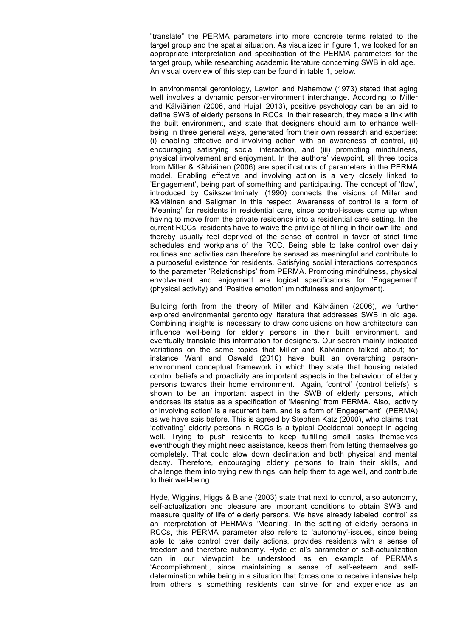"translate" the PERMA parameters into more concrete terms related to the target group and the spatial situation. As visualized in figure 1, we looked for an appropriate interpretation and specification of the PERMA parameters for the target group, while researching academic literature concerning SWB in old age. An visual overview of this step can be found in table 1, below.

In environmental gerontology, Lawton and Nahemow (1973) stated that aging well involves a dynamic person-environment interchange. According to Miller and Kälviäinen (2006, and Hujali 2013), positive psychology can be an aid to define SWB of elderly persons in RCCs. In their research, they made a link with the built environment, and state that designers should aim to enhance wellbeing in three general ways, generated from their own research and expertise: (i) enabling effective and involving action with an awareness of control, (ii) encouraging satisfying social interaction, and (iii) promoting mindfulness, physical involvement and enjoyment. In the authors' viewpoint, all three topics from Miller & Kälviäinen (2006) are specifications of parameters in the PERMA model. Enabling effective and involving action is a very closely linked to 'Engagement', being part of something and participating. The concept of 'flow', introduced by Csikszentmihalyi (1990) connects the visions of Miller and Kälviäinen and Seligman in this respect. Awareness of control is a form of 'Meaning' for residents in residential care, since control-issues come up when having to move from the private residence into a residential care setting. In the current RCCs, residents have to waive the privilige of filling in their own life, and thereby usually feel deprived of the sense of control in favor of strict time schedules and workplans of the RCC. Being able to take control over daily routines and activities can therefore be sensed as meaningful and contribute to a purposeful existence for residents. Satisfying social interactions corresponds to the parameter 'Relationships' from PERMA. Promoting mindfulness, physical envolvement and enjoyment are logical specifications for 'Engagement' (physical activity) and 'Positive emotion' (mindfulness and enjoyment).

Building forth from the theory of Miller and Kälviäinen (2006), we further explored environmental gerontology literature that addresses SWB in old age. Combining insights is necessary to draw conclusions on how architecture can influence well-being for elderly persons in their built environment, and eventually translate this information for designers. Our search mainly indicated variations on the same topics that Miller and Kälviäinen talked about; for instance Wahl and Oswald (2010) have built an overarching personenvironment conceptual framework in which they state that housing related control beliefs and proactivity are important aspects in the behaviour of elderly persons towards their home environment. Again, 'control' (control beliefs) is shown to be an important aspect in the SWB of elderly persons, which endorses its status as a specification of 'Meaning' from PERMA. Also, 'activity or involving action' is a recurrent item, and is a form of 'Engagement' (PERMA) as we have sais before. This is agreed by Stephen Katz (2000), who claims that 'activating' elderly persons in RCCs is a typical Occidental concept in ageing well. Trying to push residents to keep fulfilling small tasks themselves eventhough they might need assistance, keeps them from letting themselves go completely. That could slow down declination and both physical and mental decay. Therefore, encouraging elderly persons to train their skills, and challenge them into trying new things, can help them to age well, and contribute to their well-being.

Hyde, Wiggins, Higgs & Blane (2003) state that next to control, also autonomy, self-actualization and pleasure are important conditions to obtain SWB and measure quality of life of elderly persons. We have already labeled 'control' as an interpretation of PERMA's 'Meaning'. In the setting of elderly persons in RCCs, this PERMA parameter also refers to 'autonomy'-issues, since being able to take control over daily actions, provides residents with a sense of freedom and therefore autonomy. Hyde et al's parameter of self-actualization can in our viewpoint be understood as en example of PERMA's 'Accomplishment', since maintaining a sense of self-esteem and selfdetermination while being in a situation that forces one to receive intensive help from others is something residents can strive for and experience as an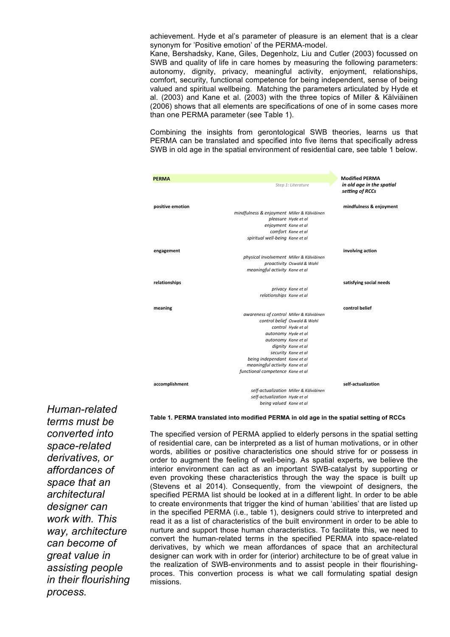achievement. Hyde et al's parameter of pleasure is an element that is a clear synonym for 'Positive emotion' of the PERMA-model.

Kane, Bershadsky, Kane, Giles, Degenholz, Liu and Cutler (2003) focussed on SWB and quality of life in care homes by measuring the following parameters: autonomy, dignity, privacy, meaningful activity, enjoyment, relationships, comfort, security, functional competence for being independent, sense of being valued and spiritual wellbeing. Matching the parameters articulated by Hyde et al. (2003) and Kane et al. (2003) with the three topics of Miller & Kälviäinen (2006) shows that all elements are specifications of one of in some cases more than one PERMA parameter (see Table 1).

Combining the insights from gerontological SWB theories, learns us that PERMA can be translated and specified into five items that specifically adress SWB in old age in the spatial environment of residential care, see table 1 below.

| <b>PERMA</b>     |                                             |                                        | <b>Modified PERMA</b>                        |
|------------------|---------------------------------------------|----------------------------------------|----------------------------------------------|
|                  |                                             | Step 1: Literature                     | in old age in the spatial<br>setting of RCCs |
| positive emotion |                                             |                                        | mindfulness & enjoyment                      |
|                  | mindfulness & enjoyment Miller & Kälviäinen |                                        |                                              |
|                  |                                             | pleasure Hyde et al                    |                                              |
|                  | enjoyment Kane et al                        |                                        |                                              |
|                  |                                             | comfort Kane et al                     |                                              |
|                  | spiritual well-being Kane et al             |                                        |                                              |
| engagement       |                                             |                                        | involving action                             |
|                  | physical involvement Miller & Kälviäinen    |                                        |                                              |
|                  |                                             | proactivity Oswald & Wahl              |                                              |
|                  | meaningful activity Kane et al              |                                        |                                              |
| relationships    |                                             |                                        | satisfying social needs                      |
|                  |                                             | privacy Kane et al                     |                                              |
|                  | relationships Kane et al                    |                                        |                                              |
| meaning          |                                             |                                        | control belief                               |
|                  | awareness of control Miller & Kälviäinen    |                                        |                                              |
|                  |                                             | control belief Oswald & Wahl           |                                              |
|                  |                                             | control Hyde et al                     |                                              |
|                  | autonomy Hyde et al                         |                                        |                                              |
|                  | autonomy Kane et al                         |                                        |                                              |
|                  |                                             | dignity Kane et al                     |                                              |
|                  |                                             | security Kane et al                    |                                              |
|                  | being independant Kane et al                |                                        |                                              |
|                  | meaningful activity Kane et al              |                                        |                                              |
|                  | functional competence Kane et al            |                                        |                                              |
| accomplishment   |                                             |                                        | self-actualization                           |
|                  |                                             | self-actualization Miller & Kälviäinen |                                              |
|                  | self-actualization Hyde et al               |                                        |                                              |
|                  | being valued Kane et al                     |                                        |                                              |
|                  |                                             |                                        |                                              |

*Human-related terms must be converted into space-related derivatives, or affordances of space that an architectural designer can work with. This way, architecture can become of great value in assisting people in their flourishing process.*

#### **Table 1. PERMA translated into modified PERMA in old age in the spatial setting of RCCs**

The specified version of PERMA applied to elderly persons in the spatial setting of residential care, can be interpreted as a list of human motivations, or in other words, abilities or positive characteristics one should strive for or possess in order to augment the feeling of well-being. As spatial experts, we believe the interior environment can act as an important SWB-catalyst by supporting or even provoking these characteristics through the way the space is built up (Stevens et al 2014). Consequently, from the viewpoint of designers, the specified PERMA list should be looked at in a different light. In order to be able to create environments that trigger the kind of human 'abilities' that are listed up in the specified PERMA (i.e., table 1), designers could strive to interpreted and read it as a list of characteristics of the built environment in order to be able to nurture and support those human characteristics. To facilitate this, we need to convert the human-related terms in the specified PERMA into space-related derivatives, by which we mean affordances of space that an architectural designer can work with in order for (interior) architecture to be of great value in the realization of SWB-environments and to assist people in their flourishingproces. This convertion process is what we call formulating spatial design missions.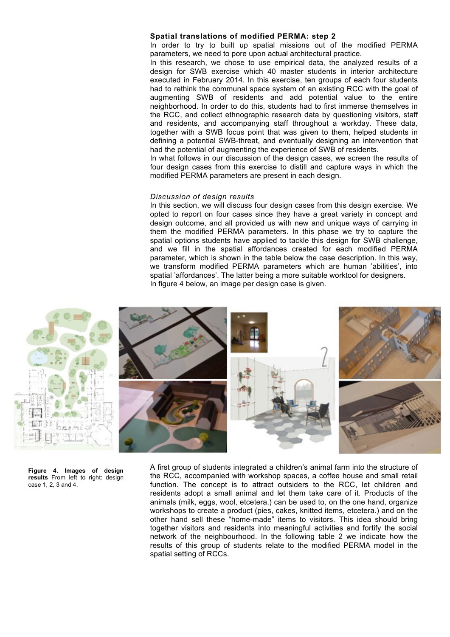#### **Spatial translations of modified PERMA: step 2**

In order to try to built up spatial missions out of the modified PERMA parameters, we need to pore upon actual architectural practice.

In this research, we chose to use empirical data, the analyzed results of a design for SWB exercise which 40 master students in interior architecture executed in February 2014. In this exercise, ten groups of each four students had to rethink the communal space system of an existing RCC with the goal of augmenting SWB of residents and add potential value to the entire neighborhood. In order to do this, students had to first immerse themselves in the RCC, and collect ethnographic research data by questioning visitors, staff and residents, and accompanying staff throughout a workday. These data, together with a SWB focus point that was given to them, helped students in defining a potential SWB-threat, and eventually designing an intervention that had the potential of augmenting the experience of SWB of residents.

In what follows in our discussion of the design cases, we screen the results of four design cases from this exercise to distill and capture ways in which the modified PERMA parameters are present in each design.

#### *Discussion of design results*

In this section, we will discuss four design cases from this design exercise. We opted to report on four cases since they have a great variety in concept and design outcome, and all provided us with new and unique ways of carrying in them the modified PERMA parameters. In this phase we try to capture the spatial options students have applied to tackle this design for SWB challenge, and we fill in the spatial affordances created for each modified PERMA parameter, which is shown in the table below the case description. In this way, we transform modified PERMA parameters which are human 'abilities', into spatial 'affordances'. The latter being a more suitable worktool for designers. In figure 4 below, an image per design case is given.



**Figure 4. Images of design results** From left to right: design case 1, 2, 3 and 4.

A first group of students integrated a children's animal farm into the structure of the RCC, accompanied with workshop spaces, a coffee house and small retail function. The concept is to attract outsiders to the RCC, let children and residents adopt a small animal and let them take care of it. Products of the animals (milk, eggs, wool, etcetera.) can be used to, on the one hand, organize workshops to create a product (pies, cakes, knitted items, etcetera.) and on the other hand sell these "home-made" items to visitors. This idea should bring together visitors and residents into meaningful activities and fortify the social network of the neighbourhood. In the following table 2 we indicate how the results of this group of students relate to the modified PERMA model in the spatial setting of RCCs.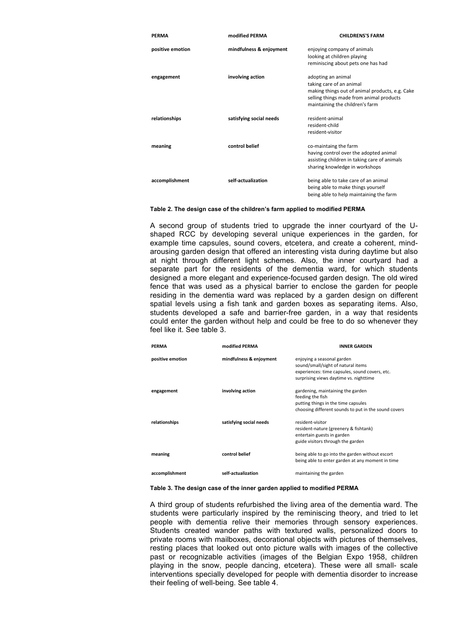| <b>PERMA</b>     | modified PERMA          | <b>CHILDRENS'S FARM</b>                         |
|------------------|-------------------------|-------------------------------------------------|
| positive emotion | mindfulness & enjoyment | enjoying company of animals                     |
|                  |                         | looking at children playing                     |
|                  |                         | reminiscing about pets one has had              |
| engagement       | involving action        | adopting an animal                              |
|                  |                         | taking care of an animal                        |
|                  |                         | making things out of animal products, e.g. Cake |
|                  |                         | selling things made from animal products        |
|                  |                         | maintaining the children's farm                 |
| relationships    | satisfying social needs | resident-animal                                 |
|                  |                         | resident-child                                  |
|                  |                         | resident-visitor                                |
| meaning          | control belief          | co-maintaing the farm                           |
|                  |                         | having control over the adopted animal          |
|                  |                         | assisting children in taking care of animals    |
|                  |                         | sharing knowledge in workshops                  |
| accomplishment   | self-actualization      | being able to take care of an animal            |
|                  |                         | being able to make things yourself              |
|                  |                         | being able to help maintaining the farm         |

#### **Table 2. The design case of the children's farm applied to modified PERMA**

A second group of students tried to upgrade the inner courtyard of the Ushaped RCC by developing several unique experiences in the garden, for example time capsules, sound covers, etcetera, and create a coherent, mindarousing garden design that offered an interesting vista during daytime but also at night through different light schemes. Also, the inner courtyard had a separate part for the residents of the dementia ward, for which students designed a more elegant and experience-focused garden design. The old wired fence that was used as a physical barrier to enclose the garden for people residing in the dementia ward was replaced by a garden design on different spatial levels using a fish tank and garden boxes as separating items. Also, students developed a safe and barrier-free garden, in a way that residents could enter the garden without help and could be free to do so whenever they feel like it. See table 3.

| <b>PERMA</b>     | modified PERMA          | <b>INNER GARDEN</b>                                                                                                                                          |
|------------------|-------------------------|--------------------------------------------------------------------------------------------------------------------------------------------------------------|
| positive emotion | mindfulness & enjoyment | enjoying a seasonal garden<br>sound/small/sight of natural items<br>experiences: time capsules, sound covers, etc.<br>surprising views daytime vs. nighttime |
| engagement       | involving action        | gardening, maintaining the garden<br>feeding the fish<br>putting things in the time capsules<br>choosing different sounds to put in the sound covers         |
| relationships    | satisfying social needs | resident-visitor<br>resident-nature (greenery & fishtank)<br>entertain guests in garden<br>guide visitors through the garden                                 |
| meaning          | control belief          | being able to go into the garden without escort<br>being able to enter garden at any moment in time                                                          |
| accomplishment   | self-actualization      | maintaining the garden                                                                                                                                       |

#### **Table 3. The design case of the inner garden applied to modified PERMA**

A third group of students refurbished the living area of the dementia ward. The students were particularly inspired by the reminiscing theory, and tried to let people with dementia relive their memories through sensory experiences. Students created wander paths with textured walls, personalized doors to private rooms with mailboxes, decorational objects with pictures of themselves, resting places that looked out onto picture walls with images of the collective past or recognizable activities (images of the Belgian Expo 1958, children playing in the snow, people dancing, etcetera). These were all small- scale interventions specially developed for people with dementia disorder to increase their feeling of well-being. See table 4.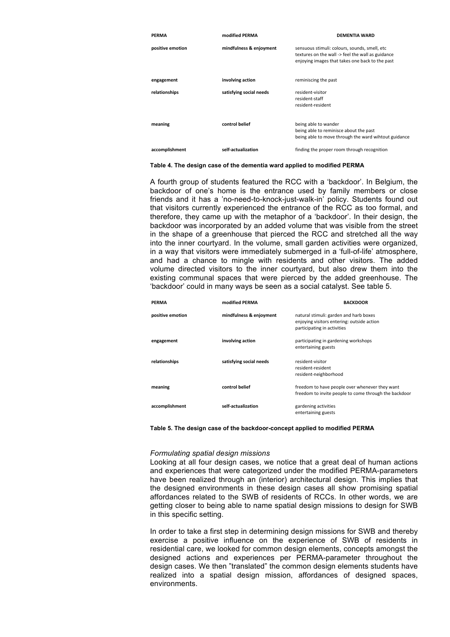| PERMA            | modified PERMA          | <b>DEMENTIA WARD</b>                                                                                                                                  |
|------------------|-------------------------|-------------------------------------------------------------------------------------------------------------------------------------------------------|
| positive emotion | mindfulness & enjoyment | sensuous stimuli: colours, sounds, smell, etc<br>textures on the wall -> feel the wall as guidance<br>enjoying images that takes one back to the past |
| engagement       | involving action        | reminiscing the past                                                                                                                                  |
| relationships    | satisfying social needs | resident-visitor<br>resident-staff<br>resident-resident                                                                                               |
| meaning          | control belief          | being able to wander<br>being able to reminisce about the past<br>being able to move through the ward wihtout guidance                                |
| accomplishment   | self-actualization      | finding the proper room through recognition                                                                                                           |

**Table 4. The design case of the dementia ward applied to modified PERMA**

A fourth group of students featured the RCC with a 'backdoor'. In Belgium, the backdoor of one's home is the entrance used by family members or close friends and it has a 'no-need-to-knock-just-walk-in' policy. Students found out that visitors currently experienced the entrance of the RCC as too formal, and therefore, they came up with the metaphor of a 'backdoor'. In their design, the backdoor was incorporated by an added volume that was visible from the street in the shape of a greenhouse that pierced the RCC and stretched all the way into the inner courtyard. In the volume, small garden activities were organized, in a way that visitors were immediately submerged in a 'full-of-life' atmosphere, and had a chance to mingle with residents and other visitors. The added volume directed visitors to the inner courtyard, but also drew them into the existing communal spaces that were pierced by the added greenhouse. The 'backdoor' could in many ways be seen as a social catalyst. See table 5.

| <b>PERMA</b>     | modified PERMA          | <b>BACKDOOR</b>                                                                                                     |
|------------------|-------------------------|---------------------------------------------------------------------------------------------------------------------|
| positive emotion | mindfulness & enjoyment | natural stimuli: garden and harb boxes<br>enjoying visitors entering: outside action<br>participating in activities |
| engagement       | involving action        | participating in gardening workshops<br>entertaining guests                                                         |
| relationships    | satisfying social needs | resident-visitor<br>resident-resident<br>resident-neighborhood                                                      |
| meaning          | control belief          | freedom to have people over whenever they want<br>freedom to invite people to come through the backdoor             |
| accomplishment   | self-actualization      | gardening activities<br>entertaining guests                                                                         |

**Table 5. The design case of the backdoor-concept applied to modified PERMA**

#### *Formulating spatial design missions*

Looking at all four design cases, we notice that a great deal of human actions and experiences that were categorized under the modified PERMA-parameters have been realized through an (interior) architectural design. This implies that the designed environments in these design cases all show promising spatial affordances related to the SWB of residents of RCCs. In other words, we are getting closer to being able to name spatial design missions to design for SWB in this specific setting.

In order to take a first step in determining design missions for SWB and thereby exercise a positive influence on the experience of SWB of residents in residential care, we looked for common design elements, concepts amongst the designed actions and experiences per PERMA-parameter throughout the design cases. We then "translated" the common design elements students have realized into a spatial design mission, affordances of designed spaces, environments.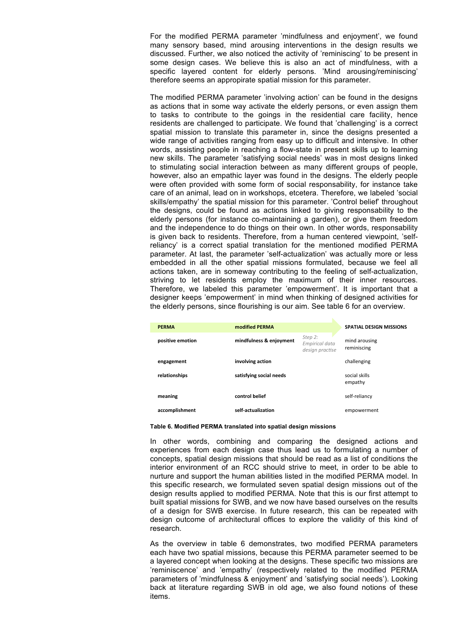For the modified PERMA parameter 'mindfulness and enjoyment', we found many sensory based, mind arousing interventions in the design results we discussed. Further, we also noticed the activity of 'reminiscing' to be present in some design cases. We believe this is also an act of mindfulness, with a specific layered content for elderly persons. 'Mind arousing/reminiscing' therefore seems an appropirate spatial mission for this parameter.

The modified PERMA parameter 'involving action' can be found in the designs as actions that in some way activate the elderly persons, or even assign them to tasks to contribute to the goings in the residential care facility, hence residents are challenged to participate. We found that 'challenging' is a correct spatial mission to translate this parameter in, since the designs presented a wide range of activities ranging from easy up to difficult and intensive. In other words, assisting people in reaching a flow-state in present skills up to learning new skills. The parameter 'satisfying social needs' was in most designs linked to stimulating social interaction between as many different groups of people, however, also an empathic layer was found in the designs. The elderly people were often provided with some form of social responsability, for instance take care of an animal, lead on in workshops, etcetera. Therefore, we labeled 'social skills/empathy' the spatial mission for this parameter. 'Control belief' throughout the designs, could be found as actions linked to giving responsability to the elderly persons (for instance co-maintaining a garden), or give them freedom and the independence to do things on their own. In other words, responsability is given back to residents. Therefore, from a human centered viewpoint, 'selfreliancy' is a correct spatial translation for the mentioned modified PERMA parameter. At last, the parameter 'self-actualization' was actually more or less embedded in all the other spatial missions formulated, because we feel all actions taken, are in someway contributing to the feeling of self-actualization, striving to let residents employ the maximum of their inner resources. Therefore, we labeled this parameter 'empowerment'. It is important that a designer keeps 'empowerment' in mind when thinking of designed activities for the elderly persons, since flourishing is our aim. See table 6 for an overview.

| <b>PERMA</b>     | modified PERMA          |                                              | <b>SPATIAL DESIGN MISSIONS</b> |
|------------------|-------------------------|----------------------------------------------|--------------------------------|
| positive emotion | mindfulness & enjoyment | Step 2:<br>Empirical data<br>design practise | mind arousing<br>reminiscing   |
| engagement       | involving action        |                                              | challenging                    |
| relationships    | satisfying social needs |                                              | social skills<br>empathy       |
| meaning          | control belief          |                                              | self-reliancy                  |
| accomplishment   | self-actualization      |                                              | empowerment                    |

#### **Table 6. Modified PERMA translated into spatial design missions**

In other words, combining and comparing the designed actions and experiences from each design case thus lead us to formulating a number of concepts, spatial design missions that should be read as a list of conditions the interior environment of an RCC should strive to meet, in order to be able to nurture and support the human abilities listed in the modified PERMA model. In this specific research, we formulated seven spatial design missions out of the design results applied to modified PERMA. Note that this is our first attempt to built spatial missions for SWB, and we now have based ourselves on the results of a design for SWB exercise. In future research, this can be repeated with design outcome of architectural offices to explore the validity of this kind of research.

As the overview in table 6 demonstrates, two modified PERMA parameters each have two spatial missions, because this PERMA parameter seemed to be a layered concept when looking at the designs. These specific two missions are 'reminiscence' and 'empathy' (respectively related to the modified PERMA parameters of 'mindfulness & enjoyment' and 'satisfying social needs'). Looking back at literature regarding SWB in old age, we also found notions of these items.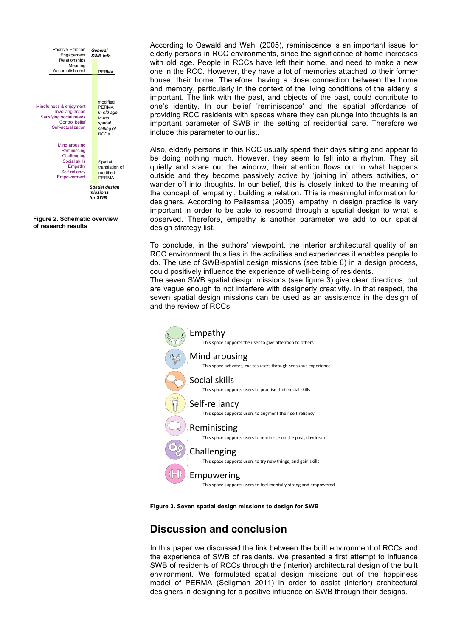

**Figure 2. Schematic overview of research results**

According to Oswald and Wahl (2005), reminiscence is an important issue for elderly persons in RCC environments, since the significance of home increases with old age. People in RCCs have left their home, and need to make a new one in the RCC. However, they have a lot of memories attached to their former house, their home. Therefore, having a close connection between the home and memory, particularly in the context of the living conditions of the elderly is important. The link with the past, and objects of the past, could contribute to one's identity. In our belief 'reminiscence' and the spatial affordance of providing RCC residents with spaces where they can plunge into thoughts is an important parameter of SWB in the setting of residential care. Therefore we include this parameter to our list.

Also, elderly persons in this RCC usually spend their days sitting and appear to be doing nothing much. However, they seem to fall into a rhythm. They sit quietly and stare out the window, their attention flows out to what happens outside and they become passively active by 'joining in' others activities, or wander off into thoughts. In our belief, this is closely linked to the meaning of the concept of 'empathy', building a relation. This is meaningful information for designers. According to Pallasmaa (2005), empathy in design practice is very important in order to be able to respond through a spatial design to what is observed. Therefore, empathy is another parameter we add to our spatial design strategy list.

To conclude, in the authors' viewpoint, the interior architectural quality of an RCC environment thus lies in the activities and experiences it enables people to do. The use of SWB-spatial design missions (see table 6) in a design process, could positively influence the experience of well-being of residents.

The seven SWB spatial design missions (see figure 3) give clear directions, but are vague enough to not interfere with designerly creativity. In that respect, the seven spatial design missions can be used as an assistence in the design of and the review of RCCs.



**Figure 3. Seven spatial design missions to design for SWB**

# **Discussion and conclusion**

In this paper we discussed the link between the built environment of RCCs and the experience of SWB of residents. We presented a first attempt to influence SWB of residents of RCCs through the (interior) architectural design of the built environment. We formulated spatial design missions out of the happiness model of PERMA (Seligman 2011) in order to assist (interior) architectural designers in designing for a positive influence on SWB through their designs.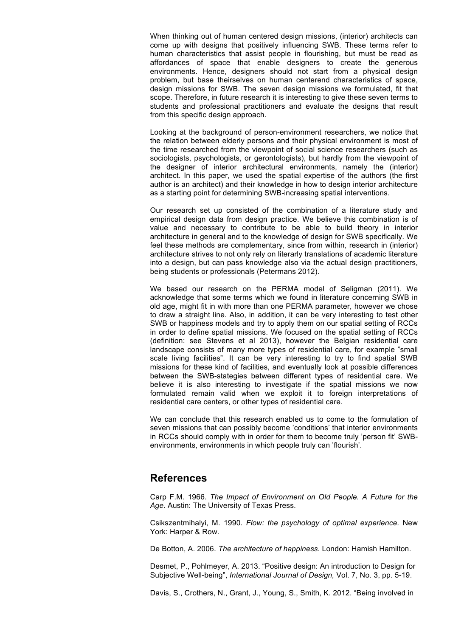When thinking out of human centered design missions, (interior) architects can come up with designs that positively influencing SWB. These terms refer to human characteristics that assist people in flourishing, but must be read as affordances of space that enable designers to create the generous environments. Hence, designers should not start from a physical design problem, but base theirselves on human centerend characteristics of space, design missions for SWB. The seven design missions we formulated, fit that scope. Therefore, in future research it is interesting to give these seven terms to students and professional practitioners and evaluate the designs that result from this specific design approach.

Looking at the background of person-environment researchers, we notice that the relation between elderly persons and their physical environment is most of the time researched from the viewpoint of social science researchers (such as sociologists, psychologists, or gerontologists), but hardly from the viewpoint of the designer of interior architectural environments, namely the (interior) architect. In this paper, we used the spatial expertise of the authors (the first author is an architect) and their knowledge in how to design interior architecture as a starting point for determining SWB-increasing spatial interventions.

Our research set up consisted of the combination of a literature study and empirical design data from design practice. We believe this combination is of value and necessary to contribute to be able to build theory in interior architecture in general and to the knowledge of design for SWB specifically. We feel these methods are complementary, since from within, research in (interior) architecture strives to not only rely on literarly translations of academic literature into a design, but can pass knowledge also via the actual design practitioners, being students or professionals (Petermans 2012).

We based our research on the PERMA model of Seligman (2011). We acknowledge that some terms which we found in literature concerning SWB in old age, might fit in with more than one PERMA parameter, however we chose to draw a straight line. Also, in addition, it can be very interesting to test other SWB or happiness models and try to apply them on our spatial setting of RCCs in order to define spatial missions. We focused on the spatial setting of RCCs (definition: see Stevens et al 2013), however the Belgian residential care landscape consists of many more types of residential care, for example "small scale living facilities". It can be very interesting to try to find spatial SWB missions for these kind of facilities, and eventually look at possible differences between the SWB-stategies between different types of residential care. We believe it is also interesting to investigate if the spatial missions we now formulated remain valid when we exploit it to foreign interpretations of residential care centers, or other types of residential care.

We can conclude that this research enabled us to come to the formulation of seven missions that can possibly become 'conditions' that interior environments in RCCs should comply with in order for them to become truly 'person fit' SWBenvironments, environments in which people truly can 'flourish'.

### **References**

Carp F.M. 1966. *The Impact of Environment on Old People. A Future for the Age.* Austin: The University of Texas Press.

Csikszentmihalyi, M. 1990. *Flow: the psychology of optimal experience.* New York: Harper & Row.

De Botton, A. 2006. *The architecture of happiness*. London: Hamish Hamilton.

Desmet, P., Pohlmeyer, A. 2013. "Positive design: An introduction to Design for Subjective Well-being", *International Journal of Design,* Vol. 7, No. 3, pp. 5-19.

Davis, S., Crothers, N., Grant, J., Young, S., Smith, K. 2012. "Being involved in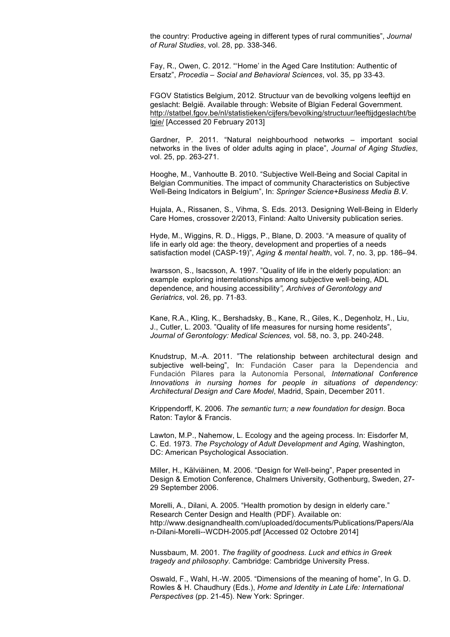the country: Productive ageing in different types of rural communities", *Journal of Rural Studies*, vol. 28, pp. 338-346.

Fay, R., Owen, C. 2012. "'Home' in the Aged Care Institution: Authentic of Ersatz", *Procedia – Social and Behavioral Sciences*, vol. 35, pp 33‐43.

FGOV Statistics Belgium, 2012. Structuur van de bevolking volgens leeftijd en geslacht: België*.* Available through: Website of Blgian Federal Government. http://statbel.fgov.be/nl/statistieken/cijfers/bevolking/structuur/leeftijdgeslacht/be lgie/ [Accessed 20 February 2013]

Gardner, P. 2011. "Natural neighbourhood networks – important social networks in the lives of older adults aging in place", *Journal of Aging Studies*, vol. 25, pp. 263-271.

Hooghe, M., Vanhoutte B. 2010. "Subjective Well-Being and Social Capital in Belgian Communities. The impact of community Characteristics on Subjective Well-Being Indicators in Belgium", In: *Springer Science+Business Media B.V*.

Hujala, A., Rissanen, S., Vihma, S. Eds. 2013. Designing Well-Being in Elderly Care Homes, crossover 2/2013, Finland: Aalto University publication series.

Hyde, M., Wiggins, R. D., Higgs, P., Blane, D. 2003. "A measure of quality of life in early old age: the theory, development and properties of a needs satisfaction model (CASP-19)", *Aging & mental health*, vol. 7, no. 3, pp. 186–94.

Iwarsson, S., Isacsson, A. 1997. "Quality of life in the elderly population: an example exploring interrelationships among subjective well‐being, ADL dependence, and housing accessibility*", Archives of Gerontology and Geriatrics*, vol. 26, pp. 71‐83.

Kane, R.A., Kling, K., Bershadsky, B., Kane, R., Giles, K., Degenholz, H., Liu, J., Cutler, L. 2003. "Quality of life measures for nursing home residents", *Journal of Gerontology: Medical Sciences,* vol. 58, no. 3, pp. 240-248.

Knudstrup, M.-A. 2011. "The relationship between architectural design and subjective well-being", In: Fundación Caser para la Dependencia and Fundación Pilares para la Autonomía Personal*, International Conference Innovations in nursing homes for people in situations of dependency: Architectural Design and Care Model*, Madrid, Spain, December 2011.

Krippendorff, K. 2006. *The semantic turn; a new foundation for design*. Boca Raton: Taylor & Francis.

Lawton, M.P., Nahemow, L. Ecology and the ageing process. In: Eisdorfer M, C. Ed. 1973. *The Psychology of Adult Development and Aging,* Washington, DC: American Psychological Association.

Miller, H., Kälviäinen, M. 2006. "Design for Well-being", Paper presented in Design & Emotion Conference, Chalmers University, Gothenburg, Sweden, 27- 29 September 2006.

Morelli, A., Dilani, A. 2005. "Health promotion by design in elderly care." Research Center Design and Health (PDF). Available on: http://www.designandhealth.com/uploaded/documents/Publications/Papers/Ala n-Dilani-Morelli--WCDH-2005.pdf [Accessed 02 Octobre 2014]

Nussbaum, M. 2001. *The fragility of goodness. Luck and ethics in Greek tragedy and philosophy*. Cambridge: Cambridge University Press.

Oswald, F., Wahl, H.-W. 2005. "Dimensions of the meaning of home", In G. D. Rowles & H. Chaudhury (Eds.), *Home and Identity in Late Life: International Perspectives* (pp. 21-45). New York: Springer.